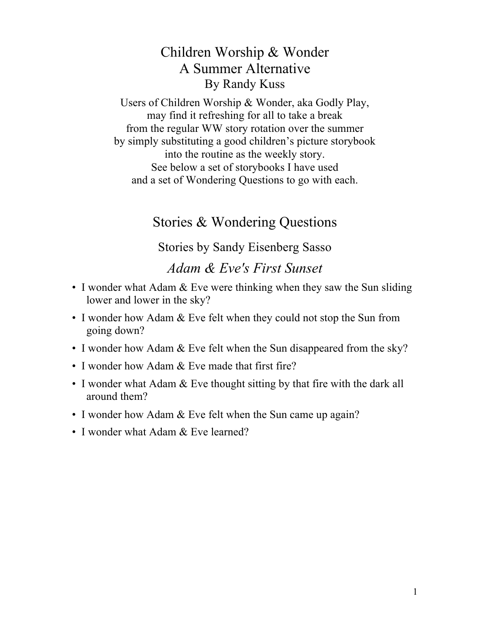## Children Worship & Wonder A Summer Alternative By Randy Kuss

Users of Children Worship & Wonder, aka Godly Play, may find it refreshing for all to take a break from the regular WW story rotation over the summer by simply substituting a good children's picture storybook into the routine as the weekly story. See below a set of storybooks I have used and a set of Wondering Questions to go with each.

## Stories & Wondering Questions

Stories by Sandy Eisenberg Sasso

*Adam & Eve's First Sunset*

- I wonder what Adam & Eve were thinking when they saw the Sun sliding lower and lower in the sky?
- I wonder how Adam & Eve felt when they could not stop the Sun from going down?
- I wonder how Adam & Eve felt when the Sun disappeared from the sky?
- I wonder how Adam & Eve made that first fire?
- I wonder what Adam & Eve thought sitting by that fire with the dark all around them?
- I wonder how Adam & Eve felt when the Sun came up again?
- I wonder what Adam & Eve learned?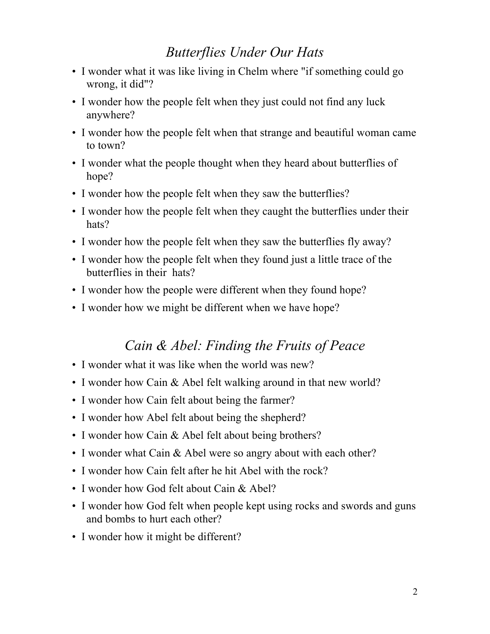## *Butterflies Under Our Hats*

- I wonder what it was like living in Chelm where "if something could go wrong, it did"?
- I wonder how the people felt when they just could not find any luck anywhere?
- I wonder how the people felt when that strange and beautiful woman came to town?
- I wonder what the people thought when they heard about butterflies of hope?
- I wonder how the people felt when they saw the butterflies?
- I wonder how the people felt when they caught the butterflies under their hats?
- I wonder how the people felt when they saw the butterflies fly away?
- I wonder how the people felt when they found just a little trace of the butterflies in their hats?
- I wonder how the people were different when they found hope?
- I wonder how we might be different when we have hope?

### *Cain & Abel: Finding the Fruits of Peace*

- I wonder what it was like when the world was new?
- I wonder how Cain & Abel felt walking around in that new world?
- I wonder how Cain felt about being the farmer?
- I wonder how Abel felt about being the shepherd?
- I wonder how Cain & Abel felt about being brothers?
- I wonder what Cain & Abel were so angry about with each other?
- I wonder how Cain felt after he hit Abel with the rock?
- I wonder how God felt about Cain & Abel?
- I wonder how God felt when people kept using rocks and swords and guns and bombs to hurt each other?
- I wonder how it might be different?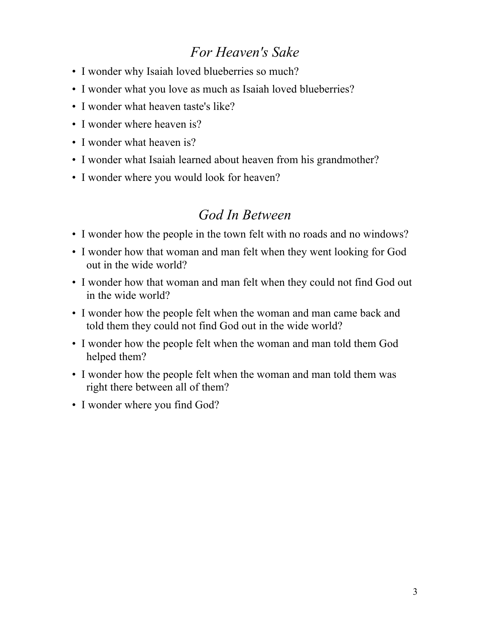# *For Heaven's Sake*

- I wonder why Isaiah loved blueberries so much?
- I wonder what you love as much as Isaiah loved blueberries?
- I wonder what heaven taste's like?
- I wonder where heaven is?
- I wonder what heaven is?
- I wonder what Isaiah learned about heaven from his grandmother?
- I wonder where you would look for heaven?

### *God In Between*

- I wonder how the people in the town felt with no roads and no windows?
- I wonder how that woman and man felt when they went looking for God out in the wide world?
- I wonder how that woman and man felt when they could not find God out in the wide world?
- I wonder how the people felt when the woman and man came back and told them they could not find God out in the wide world?
- I wonder how the people felt when the woman and man told them God helped them?
- I wonder how the people felt when the woman and man told them was right there between all of them?
- I wonder where you find God?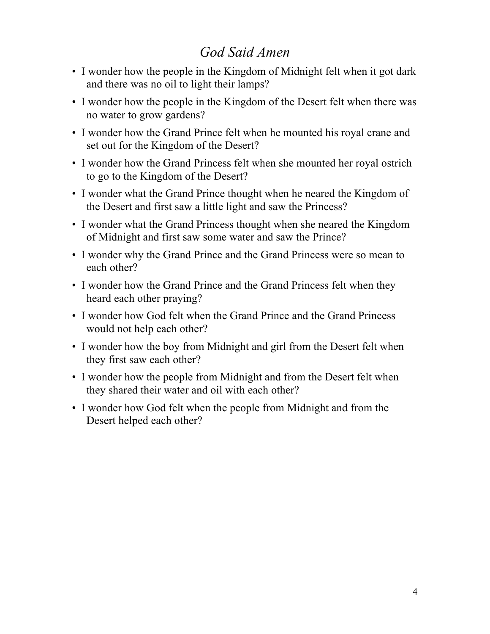# *God Said Amen*

- I wonder how the people in the Kingdom of Midnight felt when it got dark and there was no oil to light their lamps?
- I wonder how the people in the Kingdom of the Desert felt when there was no water to grow gardens?
- I wonder how the Grand Prince felt when he mounted his royal crane and set out for the Kingdom of the Desert?
- I wonder how the Grand Princess felt when she mounted her royal ostrich to go to the Kingdom of the Desert?
- I wonder what the Grand Prince thought when he neared the Kingdom of the Desert and first saw a little light and saw the Princess?
- I wonder what the Grand Princess thought when she neared the Kingdom of Midnight and first saw some water and saw the Prince?
- I wonder why the Grand Prince and the Grand Princess were so mean to each other?
- I wonder how the Grand Prince and the Grand Princess felt when they heard each other praying?
- I wonder how God felt when the Grand Prince and the Grand Princess would not help each other?
- I wonder how the boy from Midnight and girl from the Desert felt when they first saw each other?
- I wonder how the people from Midnight and from the Desert felt when they shared their water and oil with each other?
- I wonder how God felt when the people from Midnight and from the Desert helped each other?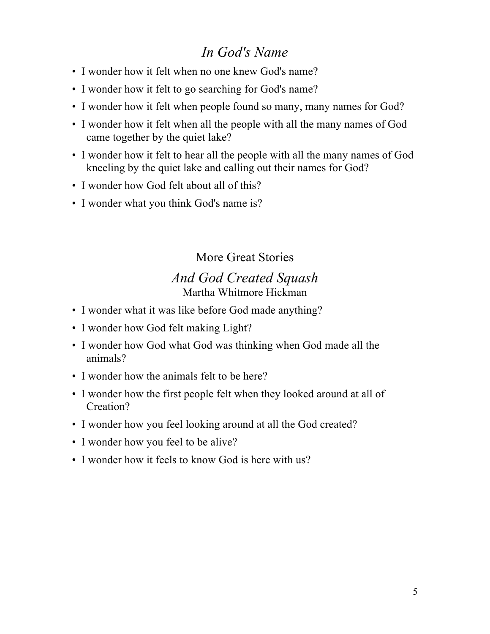## *In God's Name*

- I wonder how it felt when no one knew God's name?
- I wonder how it felt to go searching for God's name?
- I wonder how it felt when people found so many, many names for God?
- I wonder how it felt when all the people with all the many names of God came together by the quiet lake?
- I wonder how it felt to hear all the people with all the many names of God kneeling by the quiet lake and calling out their names for God?
- I wonder how God felt about all of this?
- I wonder what you think God's name is?

## More Great Stories

#### *And God Created Squash* Martha Whitmore Hickman

- I wonder what it was like before God made anything?
- I wonder how God felt making Light?
- I wonder how God what God was thinking when God made all the animals?
- I wonder how the animals felt to be here?
- I wonder how the first people felt when they looked around at all of Creation?
- I wonder how you feel looking around at all the God created?
- I wonder how you feel to be alive?
- I wonder how it feels to know God is here with us?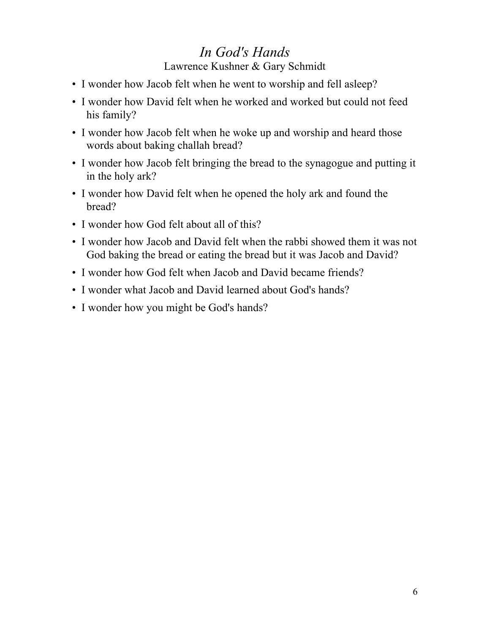## *In God's Hands*

Lawrence Kushner & Gary Schmidt

- I wonder how Jacob felt when he went to worship and fell asleep?
- I wonder how David felt when he worked and worked but could not feed his family?
- I wonder how Jacob felt when he woke up and worship and heard those words about baking challah bread?
- I wonder how Jacob felt bringing the bread to the synagogue and putting it in the holy ark?
- I wonder how David felt when he opened the holy ark and found the bread?
- I wonder how God felt about all of this?
- I wonder how Jacob and David felt when the rabbi showed them it was not God baking the bread or eating the bread but it was Jacob and David?
- I wonder how God felt when Jacob and David became friends?
- I wonder what Jacob and David learned about God's hands?
- I wonder how you might be God's hands?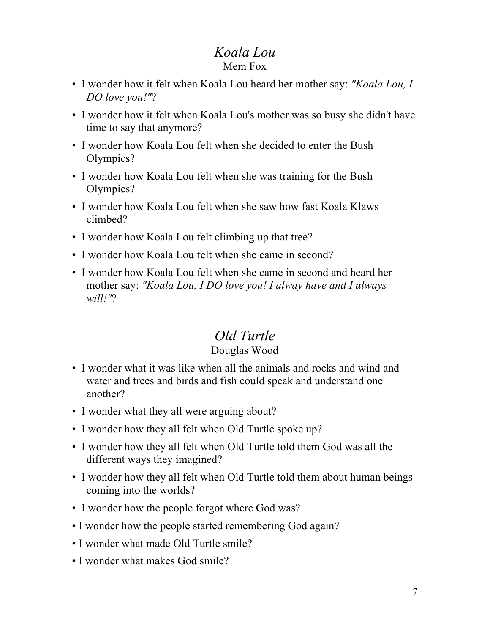#### *Koala Lou* Mem Fox

- I wonder how it felt when Koala Lou heard her mother say: *"Koala Lou, I DO love you!"*?
- I wonder how it felt when Koala Lou's mother was so busy she didn't have time to say that anymore?
- I wonder how Koala Lou felt when she decided to enter the Bush Olympics?
- I wonder how Koala Lou felt when she was training for the Bush Olympics?
- I wonder how Koala Lou felt when she saw how fast Koala Klaws climbed?
- I wonder how Koala Lou felt climbing up that tree?
- I wonder how Koala Lou felt when she came in second?
- I wonder how Koala Lou felt when she came in second and heard her mother say: *"Koala Lou, I DO love you! I alway have and I always will!"*?

# *Old Turtle*

#### Douglas Wood

- I wonder what it was like when all the animals and rocks and wind and water and trees and birds and fish could speak and understand one another?
- I wonder what they all were arguing about?
- I wonder how they all felt when Old Turtle spoke up?
- I wonder how they all felt when Old Turtle told them God was all the different ways they imagined?
- I wonder how they all felt when Old Turtle told them about human beings coming into the worlds?
- I wonder how the people forgot where God was?
- I wonder how the people started remembering God again?
- I wonder what made Old Turtle smile?
- I wonder what makes God smile?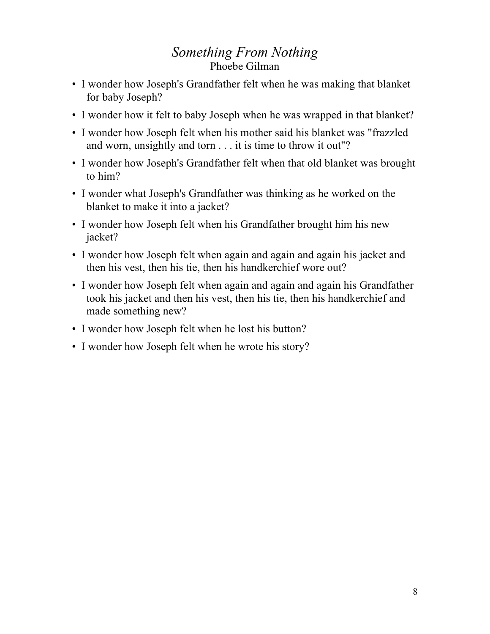### *Something From Nothing* Phoebe Gilman

- I wonder how Joseph's Grandfather felt when he was making that blanket for baby Joseph?
- I wonder how it felt to baby Joseph when he was wrapped in that blanket?
- I wonder how Joseph felt when his mother said his blanket was "frazzled and worn, unsightly and torn . . . it is time to throw it out"?
- I wonder how Joseph's Grandfather felt when that old blanket was brought to him?
- I wonder what Joseph's Grandfather was thinking as he worked on the blanket to make it into a jacket?
- I wonder how Joseph felt when his Grandfather brought him his new jacket?
- I wonder how Joseph felt when again and again and again his jacket and then his vest, then his tie, then his handkerchief wore out?
- I wonder how Joseph felt when again and again and again his Grandfather took his jacket and then his vest, then his tie, then his handkerchief and made something new?
- I wonder how Joseph felt when he lost his button?
- I wonder how Joseph felt when he wrote his story?